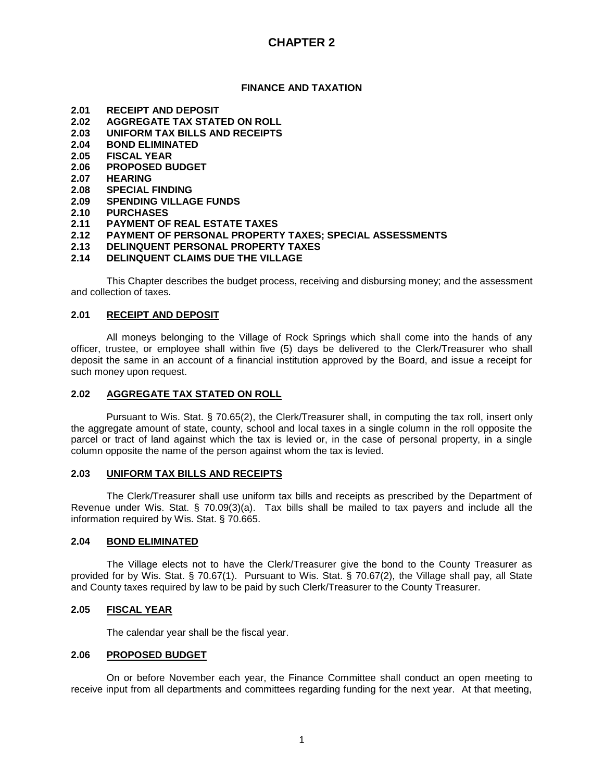# **CHAPTER 2**

## **FINANCE AND TAXATION**

- **2.01 RECEIPT AND DEPOSIT**
- **2.02 AGGREGATE TAX STATED ON ROLL**
- **2.03 UNIFORM TAX BILLS AND RECEIPTS**
- **2.04 BOND ELIMINATED**
- **2.05 FISCAL YEAR**
- **2.06 PROPOSED BUDGET**
- **2.07 HEARING**
- **2.08 SPECIAL FINDING**
- **2.09 SPENDING VILLAGE FUNDS**
- **2.10 PURCHASES**
- **2.11 PAYMENT OF REAL ESTATE TAXES**
- **2.12 PAYMENT OF PERSONAL PROPERTY TAXES; SPECIAL ASSESSMENTS**
- **2.13 DELINQUENT PERSONAL PROPERTY TAXES**
- **2.14 DELINQUENT CLAIMS DUE THE VILLAGE**

This Chapter describes the budget process, receiving and disbursing money; and the assessment and collection of taxes.

## **2.01 RECEIPT AND DEPOSIT**

All moneys belonging to the Village of Rock Springs which shall come into the hands of any officer, trustee, or employee shall within five (5) days be delivered to the Clerk/Treasurer who shall deposit the same in an account of a financial institution approved by the Board, and issue a receipt for such money upon request.

## **2.02 AGGREGATE TAX STATED ON ROLL**

Pursuant to Wis. Stat. § 70.65(2), the Clerk/Treasurer shall, in computing the tax roll, insert only the aggregate amount of state, county, school and local taxes in a single column in the roll opposite the parcel or tract of land against which the tax is levied or, in the case of personal property, in a single column opposite the name of the person against whom the tax is levied.

## **2.03 UNIFORM TAX BILLS AND RECEIPTS**

The Clerk/Treasurer shall use uniform tax bills and receipts as prescribed by the Department of Revenue under Wis. Stat. § 70.09(3)(a). Tax bills shall be mailed to tax payers and include all the information required by Wis. Stat. § 70.665.

## **2.04 BOND ELIMINATED**

The Village elects not to have the Clerk/Treasurer give the bond to the County Treasurer as provided for by Wis. Stat. § 70.67(1). Pursuant to Wis. Stat. § 70.67(2), the Village shall pay, all State and County taxes required by law to be paid by such Clerk/Treasurer to the County Treasurer.

## **2.05 FISCAL YEAR**

The calendar year shall be the fiscal year.

## **2.06 PROPOSED BUDGET**

On or before November each year, the Finance Committee shall conduct an open meeting to receive input from all departments and committees regarding funding for the next year. At that meeting,